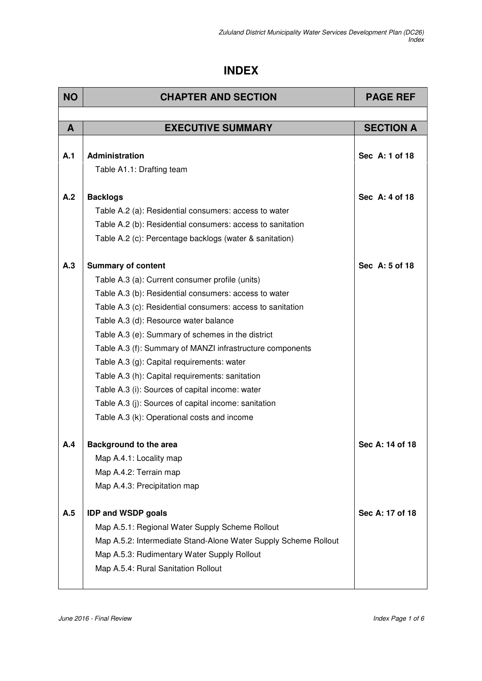## **INDEX**

| <b>NO</b> | <b>CHAPTER AND SECTION</b>                                      | <b>PAGE REF</b>  |
|-----------|-----------------------------------------------------------------|------------------|
|           |                                                                 |                  |
| A         | <b>EXECUTIVE SUMMARY</b>                                        | <b>SECTION A</b> |
|           |                                                                 |                  |
| A.1       | <b>Administration</b>                                           | Sec A: 1 of 18   |
|           | Table A1.1: Drafting team                                       |                  |
| A.2       | <b>Backlogs</b>                                                 | Sec A: 4 of 18   |
|           | Table A.2 (a): Residential consumers: access to water           |                  |
|           | Table A.2 (b): Residential consumers: access to sanitation      |                  |
|           | Table A.2 (c): Percentage backlogs (water & sanitation)         |                  |
|           |                                                                 |                  |
| A.3       | <b>Summary of content</b>                                       | Sec A: 5 of 18   |
|           | Table A.3 (a): Current consumer profile (units)                 |                  |
|           | Table A.3 (b): Residential consumers: access to water           |                  |
|           | Table A.3 (c): Residential consumers: access to sanitation      |                  |
|           | Table A.3 (d): Resource water balance                           |                  |
|           | Table A.3 (e): Summary of schemes in the district               |                  |
|           | Table A.3 (f): Summary of MANZI infrastructure components       |                  |
|           | Table A.3 (g): Capital requirements: water                      |                  |
|           | Table A.3 (h): Capital requirements: sanitation                 |                  |
|           | Table A.3 (i): Sources of capital income: water                 |                  |
|           | Table A.3 (j): Sources of capital income: sanitation            |                  |
|           | Table A.3 (k): Operational costs and income                     |                  |
| A.4       | <b>Background to the area</b>                                   | Sec A: 14 of 18  |
|           | Map A.4.1: Locality map                                         |                  |
|           | Map A.4.2: Terrain map                                          |                  |
|           | Map A.4.3: Precipitation map                                    |                  |
|           |                                                                 |                  |
| A.5       | <b>IDP and WSDP goals</b>                                       | Sec A: 17 of 18  |
|           | Map A.5.1: Regional Water Supply Scheme Rollout                 |                  |
|           | Map A.5.2: Intermediate Stand-Alone Water Supply Scheme Rollout |                  |
|           | Map A.5.3: Rudimentary Water Supply Rollout                     |                  |
|           | Map A.5.4: Rural Sanitation Rollout                             |                  |
|           |                                                                 |                  |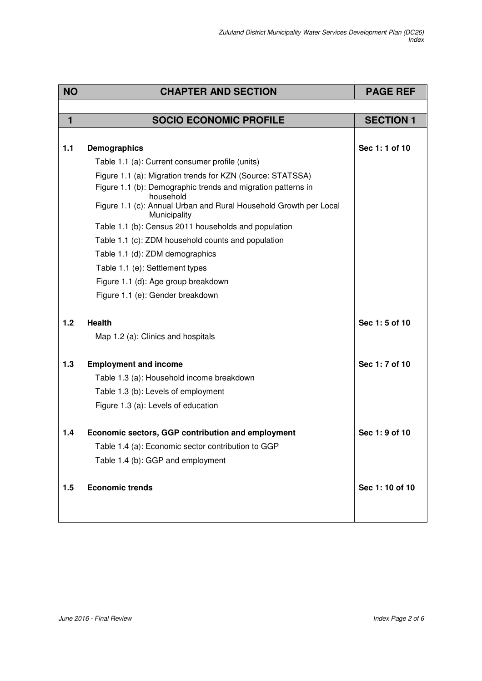| <b>NO</b> | <b>CHAPTER AND SECTION</b>                                                        | <b>PAGE REF</b>  |
|-----------|-----------------------------------------------------------------------------------|------------------|
|           |                                                                                   |                  |
| 1         | <b>SOCIO ECONOMIC PROFILE</b>                                                     | <b>SECTION 1</b> |
|           |                                                                                   |                  |
| 1.1       | <b>Demographics</b>                                                               | Sec 1:1 of 10    |
|           | Table 1.1 (a): Current consumer profile (units)                                   |                  |
|           | Figure 1.1 (a): Migration trends for KZN (Source: STATSSA)                        |                  |
|           | Figure 1.1 (b): Demographic trends and migration patterns in<br>household         |                  |
|           | Figure 1.1 (c): Annual Urban and Rural Household Growth per Local<br>Municipality |                  |
|           | Table 1.1 (b): Census 2011 households and population                              |                  |
|           | Table 1.1 (c): ZDM household counts and population                                |                  |
|           | Table 1.1 (d): ZDM demographics                                                   |                  |
|           | Table 1.1 (e): Settlement types                                                   |                  |
|           | Figure 1.1 (d): Age group breakdown                                               |                  |
|           | Figure 1.1 (e): Gender breakdown                                                  |                  |
|           |                                                                                   |                  |
| 1.2       | <b>Health</b>                                                                     | Sec 1:5 of 10    |
|           | Map 1.2 (a): Clinics and hospitals                                                |                  |
| 1.3       | <b>Employment and income</b>                                                      | Sec 1: 7 of 10   |
|           | Table 1.3 (a): Household income breakdown                                         |                  |
|           | Table 1.3 (b): Levels of employment                                               |                  |
|           | Figure 1.3 (a): Levels of education                                               |                  |
|           |                                                                                   |                  |
| 1.4       | Economic sectors, GGP contribution and employment                                 | Sec 1: 9 of 10   |
|           | Table 1.4 (a): Economic sector contribution to GGP                                |                  |
|           | Table 1.4 (b): GGP and employment                                                 |                  |
|           |                                                                                   |                  |
| 1.5       | <b>Economic trends</b>                                                            | Sec 1: 10 of 10  |
|           |                                                                                   |                  |
|           |                                                                                   |                  |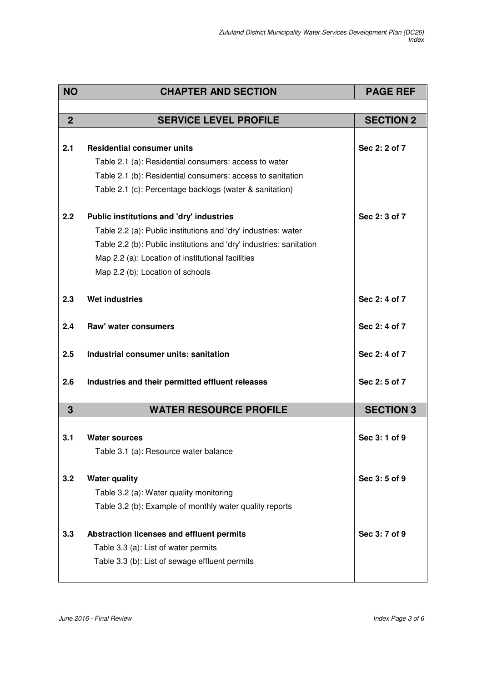| <b>NO</b>      | <b>CHAPTER AND SECTION</b>                                          | <b>PAGE REF</b>  |
|----------------|---------------------------------------------------------------------|------------------|
|                |                                                                     |                  |
| $\overline{2}$ | <b>SERVICE LEVEL PROFILE</b>                                        | <b>SECTION 2</b> |
|                |                                                                     |                  |
| 2.1            | <b>Residential consumer units</b>                                   | Sec 2: 2 of 7    |
|                | Table 2.1 (a): Residential consumers: access to water               |                  |
|                | Table 2.1 (b): Residential consumers: access to sanitation          |                  |
|                | Table 2.1 (c): Percentage backlogs (water & sanitation)             |                  |
| 2.2            | Public institutions and 'dry' industries                            | Sec 2: 3 of 7    |
|                | Table 2.2 (a): Public institutions and 'dry' industries: water      |                  |
|                | Table 2.2 (b): Public institutions and 'dry' industries: sanitation |                  |
|                | Map 2.2 (a): Location of institutional facilities                   |                  |
|                | Map 2.2 (b): Location of schools                                    |                  |
|                |                                                                     |                  |
| 2.3            | <b>Wet industries</b>                                               | Sec 2: 4 of 7    |
| 2.4            | Raw' water consumers                                                | Sec 2: 4 of 7    |
| 2.5            | Industrial consumer units: sanitation                               | Sec 2: 4 of 7    |
| 2.6            | Industries and their permitted effluent releases                    | Sec 2:5 of 7     |
| $\mathbf{3}$   | <b>WATER RESOURCE PROFILE</b>                                       | <b>SECTION 3</b> |
|                |                                                                     |                  |
| 3.1            | <b>Water sources</b><br>Table 3.1 (a): Resource water balance       | Sec 3:1 of 9     |
|                |                                                                     |                  |
| 3.2            | <b>Water quality</b>                                                | Sec 3:5 of 9     |
|                | Table 3.2 (a): Water quality monitoring                             |                  |
|                | Table 3.2 (b): Example of monthly water quality reports             |                  |
| 3.3            |                                                                     | Sec 3: 7 of 9    |
|                | Abstraction licenses and effluent permits                           |                  |
|                | Table 3.3 (a): List of water permits                                |                  |
|                | Table 3.3 (b): List of sewage effluent permits                      |                  |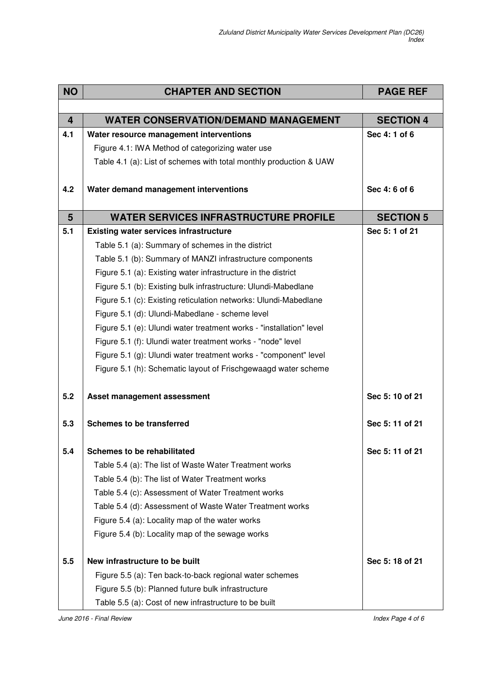| <b>NO</b>      | <b>CHAPTER AND SECTION</b>                                          | <b>PAGE REF</b>  |
|----------------|---------------------------------------------------------------------|------------------|
|                |                                                                     |                  |
| $\overline{4}$ | <b>WATER CONSERVATION/DEMAND MANAGEMENT</b>                         | <b>SECTION 4</b> |
| 4.1            | Water resource management interventions                             | Sec 4:1 of 6     |
|                | Figure 4.1: IWA Method of categorizing water use                    |                  |
|                | Table 4.1 (a): List of schemes with total monthly production & UAW  |                  |
| 4.2            | Water demand management interventions                               | Sec 4:6 of 6     |
|                |                                                                     |                  |
| 5              | <b>WATER SERVICES INFRASTRUCTURE PROFILE</b>                        | <b>SECTION 5</b> |
| 5.1            | <b>Existing water services infrastructure</b>                       | Sec 5:1 of 21    |
|                | Table 5.1 (a): Summary of schemes in the district                   |                  |
|                | Table 5.1 (b): Summary of MANZI infrastructure components           |                  |
|                | Figure 5.1 (a): Existing water infrastructure in the district       |                  |
|                | Figure 5.1 (b): Existing bulk infrastructure: Ulundi-Mabedlane      |                  |
|                | Figure 5.1 (c): Existing reticulation networks: Ulundi-Mabedlane    |                  |
|                | Figure 5.1 (d): Ulundi-Mabedlane - scheme level                     |                  |
|                | Figure 5.1 (e): Ulundi water treatment works - "installation" level |                  |
|                | Figure 5.1 (f): Ulundi water treatment works - "node" level         |                  |
|                | Figure 5.1 (g): Ulundi water treatment works - "component" level    |                  |
|                | Figure 5.1 (h): Schematic layout of Frischgewaagd water scheme      |                  |
| 5.2            | Asset management assessment                                         | Sec 5:10 of 21   |
| 5.3            | <b>Schemes to be transferred</b>                                    | Sec 5:11 of 21   |
| 5.4            | <b>Schemes to be rehabilitated</b>                                  | Sec 5:11 of 21   |
|                | Table 5.4 (a): The list of Waste Water Treatment works              |                  |
|                | Table 5.4 (b): The list of Water Treatment works                    |                  |
|                | Table 5.4 (c): Assessment of Water Treatment works                  |                  |
|                | Table 5.4 (d): Assessment of Waste Water Treatment works            |                  |
|                | Figure 5.4 (a): Locality map of the water works                     |                  |
|                | Figure 5.4 (b): Locality map of the sewage works                    |                  |
| 5.5            | New infrastructure to be built                                      | Sec 5:18 of 21   |
|                | Figure 5.5 (a): Ten back-to-back regional water schemes             |                  |
|                | Figure 5.5 (b): Planned future bulk infrastructure                  |                  |
|                | Table 5.5 (a): Cost of new infrastructure to be built               |                  |

June 2016 - Final Review **Index Page 4 of 6**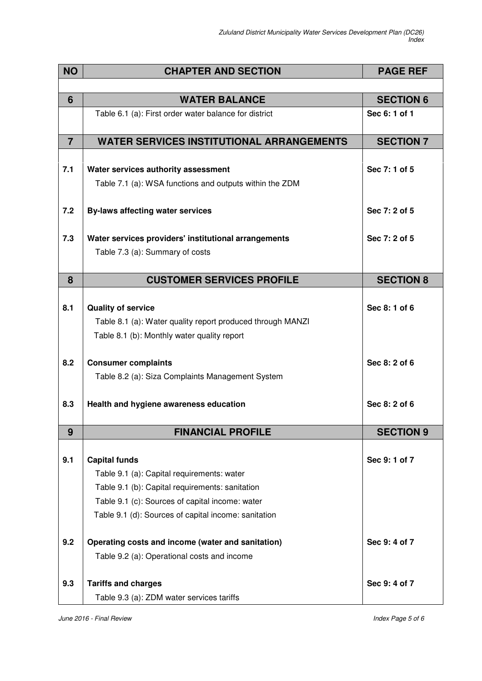| <b>NO</b>      | <b>CHAPTER AND SECTION</b>                                 | <b>PAGE REF</b>  |
|----------------|------------------------------------------------------------|------------------|
|                |                                                            |                  |
| 6              | <b>WATER BALANCE</b>                                       | <b>SECTION 6</b> |
|                | Table 6.1 (a): First order water balance for district      | Sec 6: 1 of 1    |
| $\overline{7}$ | <b>WATER SERVICES INSTITUTIONAL ARRANGEMENTS</b>           | <b>SECTION 7</b> |
|                |                                                            |                  |
| 7.1            | Water services authority assessment                        | Sec 7:1 of 5     |
|                | Table 7.1 (a): WSA functions and outputs within the ZDM    |                  |
|                |                                                            |                  |
| 7.2            | <b>By-laws affecting water services</b>                    | Sec 7: 2 of 5    |
|                |                                                            |                  |
| 7.3            | Water services providers' institutional arrangements       | Sec 7: 2 of 5    |
|                | Table 7.3 (a): Summary of costs                            |                  |
| 8              | <b>CUSTOMER SERVICES PROFILE</b>                           | <b>SECTION 8</b> |
|                |                                                            |                  |
| 8.1            | <b>Quality of service</b>                                  | Sec 8:1 of 6     |
|                | Table 8.1 (a): Water quality report produced through MANZI |                  |
|                | Table 8.1 (b): Monthly water quality report                |                  |
|                |                                                            |                  |
| 8.2            | <b>Consumer complaints</b>                                 | Sec 8: 2 of 6    |
|                | Table 8.2 (a): Siza Complaints Management System           |                  |
| 8.3            | Health and hygiene awareness education                     | Sec 8: 2 of 6    |
|                |                                                            |                  |
| 9              | <b>FINANCIAL PROFILE</b>                                   | <b>SECTION 9</b> |
|                |                                                            |                  |
| 9.1            | <b>Capital funds</b>                                       | Sec 9:1 of 7     |
|                | Table 9.1 (a): Capital requirements: water                 |                  |
|                | Table 9.1 (b): Capital requirements: sanitation            |                  |
|                | Table 9.1 (c): Sources of capital income: water            |                  |
|                | Table 9.1 (d): Sources of capital income: sanitation       |                  |
| 9.2            | Operating costs and income (water and sanitation)          | Sec 9:4 of 7     |
|                | Table 9.2 (a): Operational costs and income                |                  |
| 9.3            | <b>Tariffs and charges</b>                                 | Sec 9:4 of 7     |
|                | Table 9.3 (a): ZDM water services tariffs                  |                  |